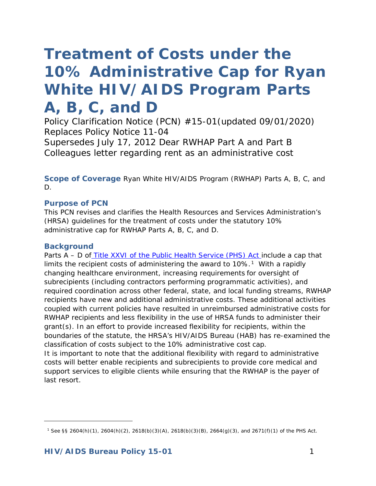# *Treatment of Costs under the 10% Administrative Cap for Ryan White HIV/AIDS Program Parts A, B, C, and D*

*Policy Clarification Notice (PCN) #15-01(updated 09/01/2020) Replaces Policy Notice 11-04 Supersedes July 17, 2012 Dear RWHAP Part A and Part B Colleagues letter regarding rent as an administrative cost*

**Scope of Coverage** Ryan White HIV/AIDS Program (RWHAP) Parts A, B, C, and D.

#### **Purpose of PCN**

This PCN revises and clarifies the Health Resources and Services Administration's (HRSA) guidelines for the treatment of costs under the statutory 10% administrative cap for RWHAP Parts A, B, C, and D.

#### **Background**

<span id="page-0-0"></span>-

Parts A – D of [Title XXVI of the Public Health Service \(PHS\) Act i](http://hab.hrsa.gov/abouthab/legislation.html)nclude a cap that limits the recipient costs of administering the award to  $10\%$ .<sup>1</sup> With a rapidly changing healthcare environment, increasing requirements for oversight of subrecipients (including contractors performing programmatic activities), and required coordination across other federal, state, and local funding streams, RWHAP recipients have new and additional administrative costs. These additional activities coupled with current policies have resulted in unreimbursed administrative costs for RWHAP recipients and less flexibility in the use of HRSA funds to administer their grant(s). In an effort to provide increased flexibility for recipients, within the boundaries of the statute, the HRSA's HIV/AIDS Bureau (HAB) has re-examined the classification of costs subject to the 10% administrative cost cap.

It is important to note that the additional flexibility with regard to administrative costs will better enable recipients and subrecipients to provide core medical and support services to eligible clients while ensuring that the RWHAP is the payer of last resort.

<sup>1</sup> See §§ 2604(h)(1), 2604(h)(2), 2618(b)(3)(A), 2618(b)(3)(B), 2664(g)(3), and 2671(f)(1) of the PHS Act.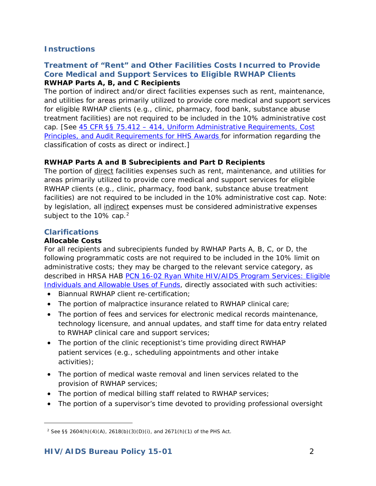# **Instructions**

## **Treatment of "Rent" and Other Facilities Costs Incurred to Provide Core Medical and Support Services to Eligible RWHAP Clients RWHAP Parts A, B, and C Recipients**

The portion of indirect and/or direct facilities expenses such as rent, maintenance, and utilities for areas primarily utilized to provide core medical and support services for eligible RWHAP clients (e.g., clinic, pharmacy, food bank, substance abuse treatment facilities) are not required to be included in the 10% administrative cost cap. [See [45 CFR §§ 75.412 – 414, Uniform](http://www.ecfr.gov/cgi-bin/retrieveECFR?gp=1&SID=e2b32b899fa7d77a4cb71d59bc54a834&ty=HTML&h=L&r=PART&n=pt45.1.75&sg45.1.75_1411.sg12) [Administrative Requirements, Cost](http://www.ecfr.gov/cgi-bin/retrieveECFR?gp=1&SID=e2b32b899fa7d77a4cb71d59bc54a834&ty=HTML&h=L&r=PART&n=pt45.1.75&sg45.1.75_1411.sg12)  [Principles, and Audit Requirements for](http://www.ecfr.gov/cgi-bin/retrieveECFR?gp=1&SID=e2b32b899fa7d77a4cb71d59bc54a834&ty=HTML&h=L&r=PART&n=pt45.1.75&sg45.1.75_1411.sg12) [HHS Awards f](http://www.ecfr.gov/cgi-bin/retrieveECFR?gp=1&SID=e2b32b899fa7d77a4cb71d59bc54a834&ty=HTML&h=L&r=PART&n=pt45.1.75&sg45.1.75_1411.sg12)or information regarding the classification of costs as direct or indirect.]

## **RWHAP Parts A and B Subrecipients and Part D Recipients**

The portion of direct facilities expenses such as rent, maintenance, and utilities for areas primarily utilized to provide core medical and support services for eligible RWHAP clients (e.g., clinic, pharmacy, food bank, substance abuse treatment facilities) are not required to be included in the 10% administrative cost cap. Note: by legislation, all indirect expenses must be considered administrative expenses subject to the 10% cap.<sup>[2](#page-1-0)</sup>

# **Clarifications**

<span id="page-1-0"></span>l

## **Allocable Costs**

For all recipients and subrecipients funded by RWHAP Parts A, B, C, or D, the following programmatic costs are not required to be included in the 10% limit on administrative costs; they may be charged to the relevant service category, as described in HRSA HAB PCN 16-02 Ryan White HIV/AIDS Program Services: Eligible [Individuals and Allowable Uses of Funds,](https://hab.hrsa.gov/sites/default/files/hab/program-grants-management/ServiceCategoryPCN_16-02Final.pdf) directly associated with such activities:

- Biannual RWHAP client re-certification;
- The portion of malpractice insurance related to RWHAP clinical care;
- The portion of fees and services for electronic medical records maintenance, technology licensure, and annual updates, and staff time for data entry related to RWHAP clinical care and support services;
- The portion of the clinic receptionist's time providing direct RWHAP patient services (e.g., scheduling appointments and other intake activities);
- The portion of medical waste removal and linen services related to the provision of RWHAP services;
- The portion of medical billing staff related to RWHAP services;
- The portion of a supervisor's time devoted to providing professional oversight

<sup>2</sup> See §§ 2604(h)(4)(A), 2618(b)(3)(D)(i), and 2671(h)(1) of the PHS Act.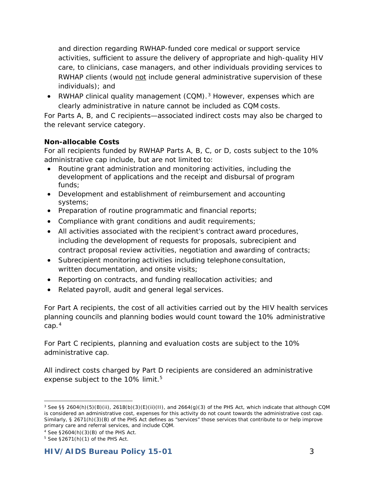and direction regarding RWHAP-funded core medical or support service activities, sufficient to assure the delivery of appropriate and high-quality HIV care, to clinicians, case managers, and other individuals providing services to RWHAP clients (would not include general administrative supervision of these individuals); and

• RWHAP clinical quality management  $(CQM)$ .<sup>[3](#page-2-0)</sup> However, expenses which are clearly administrative in nature cannot be included as CQM costs.

For Parts A, B, and C recipients—associated indirect costs may also be charged to the relevant service category.

## **Non-allocable Costs**

For all recipients funded by RWHAP Parts A, B, C, or D, costs subject to the 10% administrative cap include, but are not limited to:

- Routine grant administration and monitoring activities, including the development of applications and the receipt and disbursal of program funds;
- Development and establishment of reimbursement and accounting systems;
- Preparation of routine programmatic and financial reports;
- Compliance with grant conditions and audit requirements;
- All activities associated with the recipient's contract award procedures, including the development of requests for proposals, subrecipient and contract proposal review activities, negotiation and awarding of contracts;
- Subrecipient monitoring activities including telephone consultation, written documentation, and onsite visits;
- Reporting on contracts, and funding reallocation activities; and
- Related payroll, audit and general legal services.

For Part A recipients, the cost of all activities carried out by the HIV health services planning councils and planning bodies would count toward the 10% administrative cap.[4](#page-2-1)

For Part C recipients, planning and evaluation costs are subject to the 10% administrative cap.

All indirect costs charged by Part D recipients are considered an administrative expense subject to the 10% limit.<sup>5</sup>

<span id="page-2-0"></span><sup>1</sup>  $3$  See §§ 2604(h)(5)(B)(ii), 2618(b)(3)(E)(ii)(II), and 2664(g)(3) of the PHS Act, which indicate that although CQM is considered an administrative cost, expenses for this activity do not count towards the administrative cost cap. Similarly, § 2671(h)(3)(B) of the PHS Act defines as "services" those services that contribute to or help improve primary care and referral services, and include CQM.

<span id="page-2-1"></span><sup>4</sup> See §2604(h)(3)(B) of the PHS Act.

<span id="page-2-2"></span> $5$  See §2671(h)(1) of the PHS Act.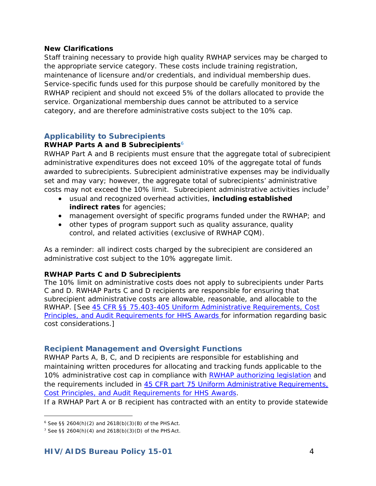#### **New Clarifications**

Staff training necessary to provide high quality RWHAP services may be charged to the appropriate service category. These costs include training registration, maintenance of licensure and/or credentials, and individual membership dues. Service-specific funds used for this purpose should be carefully monitored by the RWHAP recipient and should not exceed 5% of the dollars allocated to provide the service. Organizational membership dues cannot be attributed to a service category, and are therefore administrative costs subject to the 10% cap.

## **Applicability to Subrecipients**

#### **RWHAP Parts A and B Subrecipients**[6](#page-3-0)

RWHAP Part A and B recipients must ensure that the aggregate total of subrecipient administrative expenditures does not exceed 10% of the aggregate total of funds awarded to subrecipients. Subrecipient administrative expenses may be individually set and may vary; however, the aggregate total of subrecipients' administrative costs may not exceed the 10% limit. Subrecipient administrative activities include<sup>[7](#page-3-1)</sup>

- usual and recognized overhead activities, **including established indirect rates** for agencies;
- management oversight of specific programs funded under the RWHAP; and
- other types of program support such as quality assurance, quality control, and related activities (exclusive of RWHAP CQM).

As a reminder: all indirect costs charged by the subrecipient are considered an administrative cost subject to the 10% aggregate limit.

#### **RWHAP Parts C and D Subrecipients**

The 10% limit on administrative costs does not apply to subrecipients under Parts C and D. RWHAP Parts C and D recipients are responsible for ensuring that subrecipient administrative costs are allowable, reasonable, and allocable to the RWHAP. [See [45 CFR §§ 75.403-405 Uniform Administrative](http://www.ecfr.gov/cgi-bin/retrieveECFR?gp=1&SID=e2b32b899fa7d77a4cb71d59bc54a834&ty=HTML&h=L&r=PART&n=pt45.1.75&sg45.1.75_1411.sg12) [Requirements, Cost](http://www.ecfr.gov/cgi-bin/retrieveECFR?gp=1&SID=e2b32b899fa7d77a4cb71d59bc54a834&ty=HTML&h=L&r=PART&n=pt45.1.75&sg45.1.75_1411.sg12)  [Principles, and Audit Requirements for HHS Awards f](http://www.ecfr.gov/cgi-bin/retrieveECFR?gp=1&SID=e2b32b899fa7d77a4cb71d59bc54a834&ty=HTML&h=L&r=PART&n=pt45.1.75&sg45.1.75_1411.sg12)or information regarding basic cost considerations.]

### **Recipient Management and Oversight Functions**

RWHAP Parts A, B, C, and D recipients are responsible for establishing and maintaining written procedures for allocating and tracking funds applicable to the 10% administrative cost cap in compliance with [RWHAP authorizing legislation](http://hab.hrsa.gov/abouthab/legislation.html) and the requirements included in [45 CFR part](http://www.ecfr.gov/cgi-bin/retrieveECFR?gp=1&SID=a1fcee7b4f34f96045b4c7e5596ccab7&ty=HTML&h=L&r=PART&n=pt45.1.75) 75 Uniform Administrative Requirements, [Cost Principles, and Audit](http://www.ecfr.gov/cgi-bin/retrieveECFR?gp=1&SID=a1fcee7b4f34f96045b4c7e5596ccab7&ty=HTML&h=L&r=PART&n=pt45.1.75) [Requirements for HHS Awards.](http://www.ecfr.gov/cgi-bin/retrieveECFR?gp=1&SID=a1fcee7b4f34f96045b4c7e5596ccab7&ty=HTML&h=L&r=PART&n=pt45.1.75)

If a RWHAP Part A or B recipient has contracted with an entity to provide statewide

l

<span id="page-3-0"></span><sup>6</sup> See §§ 2604(h)(2) and 2618(b)(3)(B) of the PHSAct.

<span id="page-3-1"></span><sup>&</sup>lt;sup>7</sup> See §§ 2604(h)(4) and 2618(b)(3)(D) of the PHSAct.